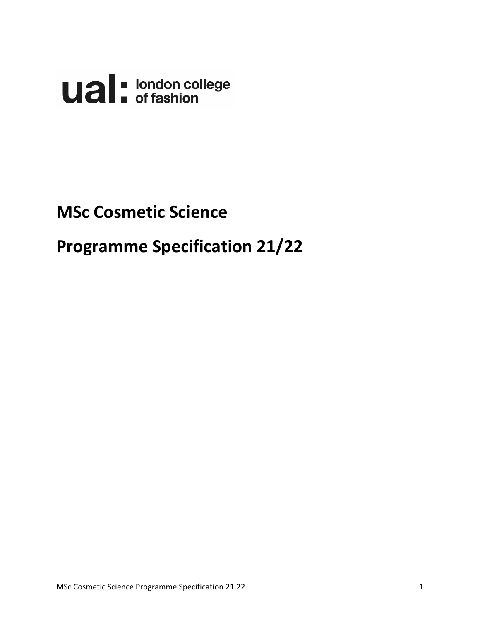**Ual** of fashion

# **MSc Cosmetic Science**

# **Programme Specification 21/22**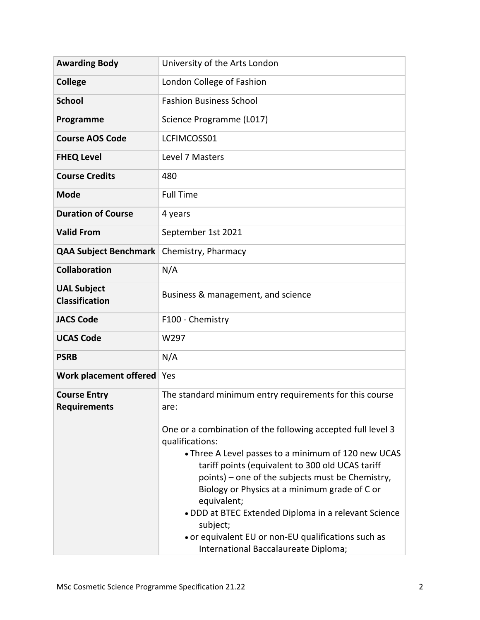| <b>Awarding Body</b>                        | University of the Arts London                                                                                                                                                                                                                                                                                                                                                                                                                                                                                                                       |
|---------------------------------------------|-----------------------------------------------------------------------------------------------------------------------------------------------------------------------------------------------------------------------------------------------------------------------------------------------------------------------------------------------------------------------------------------------------------------------------------------------------------------------------------------------------------------------------------------------------|
| <b>College</b>                              | London College of Fashion                                                                                                                                                                                                                                                                                                                                                                                                                                                                                                                           |
| <b>School</b>                               | <b>Fashion Business School</b>                                                                                                                                                                                                                                                                                                                                                                                                                                                                                                                      |
| Programme                                   | Science Programme (L017)                                                                                                                                                                                                                                                                                                                                                                                                                                                                                                                            |
| <b>Course AOS Code</b>                      | LCFIMCOSS01                                                                                                                                                                                                                                                                                                                                                                                                                                                                                                                                         |
| <b>FHEQ Level</b>                           | Level 7 Masters                                                                                                                                                                                                                                                                                                                                                                                                                                                                                                                                     |
| <b>Course Credits</b>                       | 480                                                                                                                                                                                                                                                                                                                                                                                                                                                                                                                                                 |
| <b>Mode</b>                                 | <b>Full Time</b>                                                                                                                                                                                                                                                                                                                                                                                                                                                                                                                                    |
| <b>Duration of Course</b>                   | 4 years                                                                                                                                                                                                                                                                                                                                                                                                                                                                                                                                             |
| <b>Valid From</b>                           | September 1st 2021                                                                                                                                                                                                                                                                                                                                                                                                                                                                                                                                  |
| <b>QAA Subject Benchmark</b>                | Chemistry, Pharmacy                                                                                                                                                                                                                                                                                                                                                                                                                                                                                                                                 |
| <b>Collaboration</b>                        | N/A                                                                                                                                                                                                                                                                                                                                                                                                                                                                                                                                                 |
| <b>UAL Subject</b><br><b>Classification</b> | Business & management, and science                                                                                                                                                                                                                                                                                                                                                                                                                                                                                                                  |
| <b>JACS Code</b>                            | F100 - Chemistry                                                                                                                                                                                                                                                                                                                                                                                                                                                                                                                                    |
| <b>UCAS Code</b>                            | W297                                                                                                                                                                                                                                                                                                                                                                                                                                                                                                                                                |
| <b>PSRB</b>                                 | N/A                                                                                                                                                                                                                                                                                                                                                                                                                                                                                                                                                 |
| Work placement offered                      | Yes                                                                                                                                                                                                                                                                                                                                                                                                                                                                                                                                                 |
| <b>Course Entry</b><br><b>Requirements</b>  | The standard minimum entry requirements for this course<br>are:<br>One or a combination of the following accepted full level 3<br>qualifications:<br>• Three A Level passes to a minimum of 120 new UCAS<br>tariff points (equivalent to 300 old UCAS tariff<br>points) – one of the subjects must be Chemistry,<br>Biology or Physics at a minimum grade of C or<br>equivalent;<br>. DDD at BTEC Extended Diploma in a relevant Science<br>subject;<br>• or equivalent EU or non-EU qualifications such as<br>International Baccalaureate Diploma; |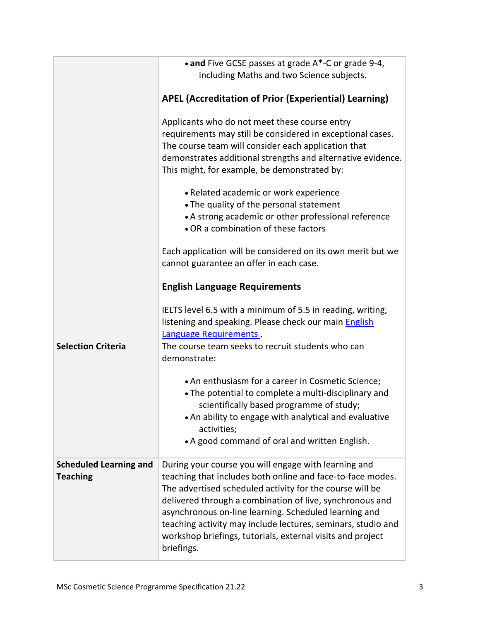|                               | • and Five GCSE passes at grade A*-C or grade 9-4,<br>including Maths and two Science subjects.                                                                               |
|-------------------------------|-------------------------------------------------------------------------------------------------------------------------------------------------------------------------------|
|                               | <b>APEL (Accreditation of Prior (Experiential) Learning)</b>                                                                                                                  |
|                               |                                                                                                                                                                               |
|                               | Applicants who do not meet these course entry                                                                                                                                 |
|                               | requirements may still be considered in exceptional cases.                                                                                                                    |
|                               | The course team will consider each application that                                                                                                                           |
|                               | demonstrates additional strengths and alternative evidence.<br>This might, for example, be demonstrated by:                                                                   |
|                               |                                                                                                                                                                               |
|                               | • Related academic or work experience                                                                                                                                         |
|                               | • The quality of the personal statement                                                                                                                                       |
|                               | • A strong academic or other professional reference                                                                                                                           |
|                               | • OR a combination of these factors                                                                                                                                           |
|                               | Each application will be considered on its own merit but we                                                                                                                   |
|                               | cannot guarantee an offer in each case.                                                                                                                                       |
|                               |                                                                                                                                                                               |
|                               | <b>English Language Requirements</b>                                                                                                                                          |
|                               | IELTS level 6.5 with a minimum of 5.5 in reading, writing,<br>listening and speaking. Please check our main English<br>Language Requirements.                                 |
| <b>Selection Criteria</b>     | The course team seeks to recruit students who can                                                                                                                             |
|                               | demonstrate:                                                                                                                                                                  |
|                               |                                                                                                                                                                               |
|                               | • An enthusiasm for a career in Cosmetic Science;                                                                                                                             |
|                               | • The potential to complete a multi-disciplinary and                                                                                                                          |
|                               | scientifically based programme of study;<br>• An ability to engage with analytical and evaluative                                                                             |
|                               | activities;                                                                                                                                                                   |
|                               | • A good command of oral and written English.                                                                                                                                 |
|                               |                                                                                                                                                                               |
| <b>Scheduled Learning and</b> | During your course you will engage with learning and                                                                                                                          |
| <b>Teaching</b>               | teaching that includes both online and face-to-face modes.                                                                                                                    |
|                               |                                                                                                                                                                               |
|                               |                                                                                                                                                                               |
|                               | teaching activity may include lectures, seminars, studio and                                                                                                                  |
|                               | workshop briefings, tutorials, external visits and project<br>briefings.                                                                                                      |
|                               | The advertised scheduled activity for the course will be<br>delivered through a combination of live, synchronous and<br>asynchronous on-line learning. Scheduled learning and |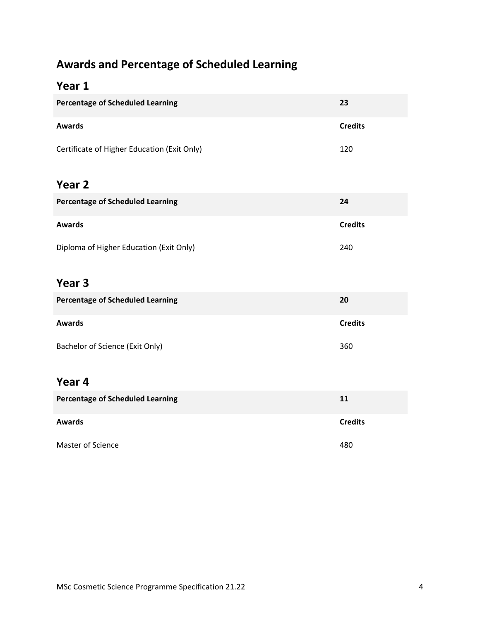## **Awards and Percentage of Scheduled Learning**

## **Year 1**

| <b>Percentage of Scheduled Learning</b>     | 23             |
|---------------------------------------------|----------------|
| <b>Awards</b>                               | <b>Credits</b> |
| Certificate of Higher Education (Exit Only) | 120            |
| Year <sub>2</sub>                           |                |
| <b>Percentage of Scheduled Learning</b>     | 24             |
| <b>Awards</b>                               | <b>Credits</b> |
| Diploma of Higher Education (Exit Only)     | 240            |
| Year <sub>3</sub>                           |                |
| <b>Percentage of Scheduled Learning</b>     | 20             |
| <b>Awards</b>                               | <b>Credits</b> |
| Bachelor of Science (Exit Only)             | 360            |
| Year 4                                      |                |
| <b>Percentage of Scheduled Learning</b>     | 11             |
| <b>Awards</b>                               | <b>Credits</b> |
| Master of Science                           | 480            |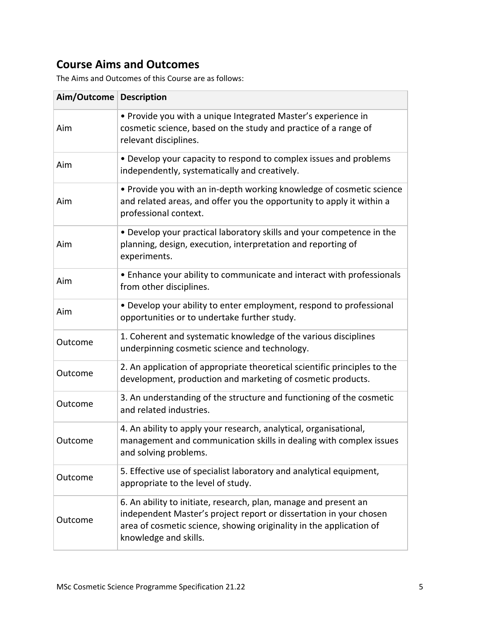## **Course Aims and Outcomes**

The Aims and Outcomes of this Course are as follows:

| Aim/Outcome Description |                                                                                                                                                                                                                                        |
|-------------------------|----------------------------------------------------------------------------------------------------------------------------------------------------------------------------------------------------------------------------------------|
| Aim                     | • Provide you with a unique Integrated Master's experience in<br>cosmetic science, based on the study and practice of a range of<br>relevant disciplines.                                                                              |
| Aim                     | • Develop your capacity to respond to complex issues and problems<br>independently, systematically and creatively.                                                                                                                     |
| Aim                     | • Provide you with an in-depth working knowledge of cosmetic science<br>and related areas, and offer you the opportunity to apply it within a<br>professional context.                                                                 |
| Aim                     | • Develop your practical laboratory skills and your competence in the<br>planning, design, execution, interpretation and reporting of<br>experiments.                                                                                  |
| Aim                     | • Enhance your ability to communicate and interact with professionals<br>from other disciplines.                                                                                                                                       |
| Aim                     | • Develop your ability to enter employment, respond to professional<br>opportunities or to undertake further study.                                                                                                                    |
| Outcome                 | 1. Coherent and systematic knowledge of the various disciplines<br>underpinning cosmetic science and technology.                                                                                                                       |
| Outcome                 | 2. An application of appropriate theoretical scientific principles to the<br>development, production and marketing of cosmetic products.                                                                                               |
| Outcome                 | 3. An understanding of the structure and functioning of the cosmetic<br>and related industries.                                                                                                                                        |
| Outcome                 | 4. An ability to apply your research, analytical, organisational,<br>management and communication skills in dealing with complex issues<br>and solving problems.                                                                       |
| Outcome                 | 5. Effective use of specialist laboratory and analytical equipment,<br>appropriate to the level of study.                                                                                                                              |
| Outcome                 | 6. An ability to initiate, research, plan, manage and present an<br>independent Master's project report or dissertation in your chosen<br>area of cosmetic science, showing originality in the application of<br>knowledge and skills. |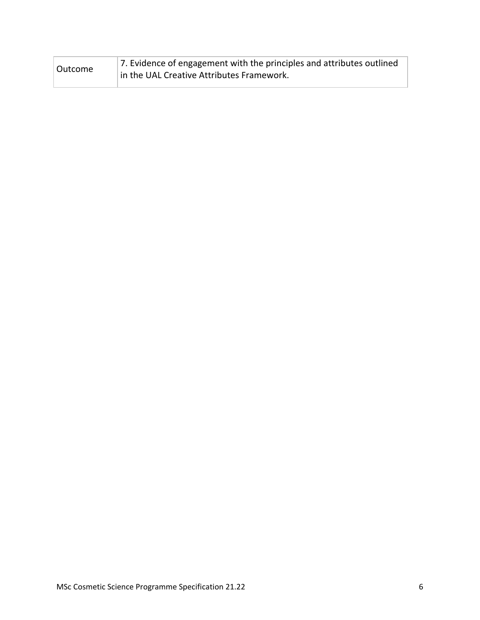| Outcome | 7. Evidence of engagement with the principles and attributes outlined |
|---------|-----------------------------------------------------------------------|
|         | in the UAL Creative Attributes Framework.                             |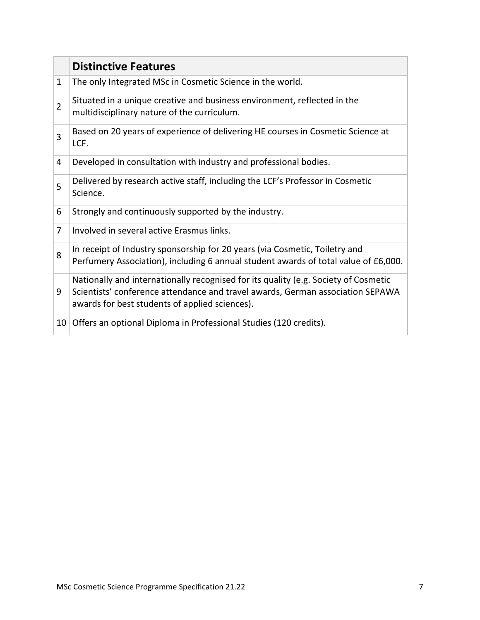|                | <b>Distinctive Features</b>                                                                                                                                                                                             |
|----------------|-------------------------------------------------------------------------------------------------------------------------------------------------------------------------------------------------------------------------|
| $\mathbf{1}$   | The only Integrated MSc in Cosmetic Science in the world.                                                                                                                                                               |
| $\overline{2}$ | Situated in a unique creative and business environment, reflected in the<br>multidisciplinary nature of the curriculum.                                                                                                 |
| 3              | Based on 20 years of experience of delivering HE courses in Cosmetic Science at<br>LCF.                                                                                                                                 |
| 4              | Developed in consultation with industry and professional bodies.                                                                                                                                                        |
| 5              | Delivered by research active staff, including the LCF's Professor in Cosmetic<br>Science.                                                                                                                               |
| 6              | Strongly and continuously supported by the industry.                                                                                                                                                                    |
| 7              | Involved in several active Erasmus links.                                                                                                                                                                               |
| 8              | In receipt of Industry sponsorship for 20 years (via Cosmetic, Toiletry and<br>Perfumery Association), including 6 annual student awards of total value of £6,000.                                                      |
| 9              | Nationally and internationally recognised for its quality (e.g. Society of Cosmetic<br>Scientists' conference attendance and travel awards, German association SEPAWA<br>awards for best students of applied sciences). |
| 10             | Offers an optional Diploma in Professional Studies (120 credits).                                                                                                                                                       |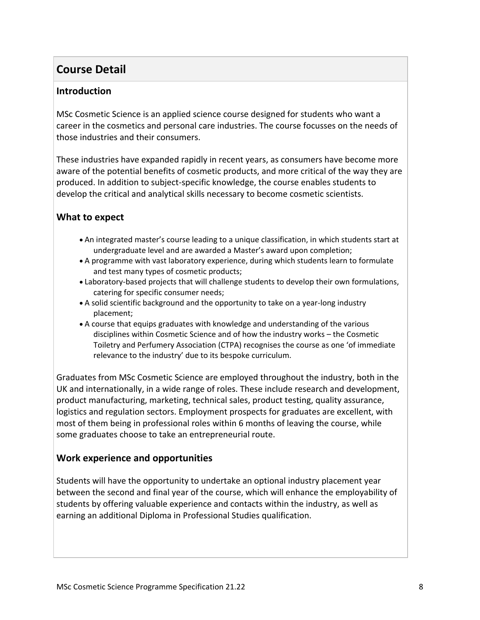## **Course Detail**

#### **Introduction**

MSc Cosmetic Science is an applied science course designed for students who want a career in the cosmetics and personal care industries. The course focusses on the needs of those industries and their consumers.

These industries have expanded rapidly in recent years, as consumers have become more aware of the potential benefits of cosmetic products, and more critical of the way they are produced. In addition to subject-specific knowledge, the course enables students to develop the critical and analytical skills necessary to become cosmetic scientists.

#### **What to expect**

- An integrated master's course leading to a unique classification, in which students start at undergraduate level and are awarded a Master's award upon completion;
- A programme with vast laboratory experience, during which students learn to formulate and test many types of cosmetic products;
- Laboratory-based projects that will challenge students to develop their own formulations, catering for specific consumer needs;
- A solid scientific background and the opportunity to take on a year-long industry placement;
- A course that equips graduates with knowledge and understanding of the various disciplines within Cosmetic Science and of how the industry works – the Cosmetic Toiletry and Perfumery Association (CTPA) recognises the course as one 'of immediate relevance to the industry' due to its bespoke curriculum.

Graduates from MSc Cosmetic Science are employed throughout the industry, both in the UK and internationally, in a wide range of roles. These include research and development, product manufacturing, marketing, technical sales, product testing, quality assurance, logistics and regulation sectors. Employment prospects for graduates are excellent, with most of them being in professional roles within 6 months of leaving the course, while some graduates choose to take an entrepreneurial route.

#### **Work experience and opportunities**

Students will have the opportunity to undertake an optional industry placement year between the second and final year of the course, which will enhance the employability of students by offering valuable experience and contacts within the industry, as well as earning an additional Diploma in Professional Studies qualification.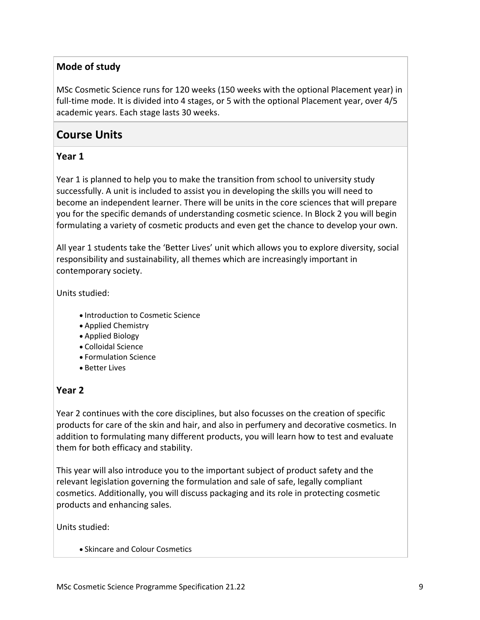#### **Mode of study**

MSc Cosmetic Science runs for 120 weeks (150 weeks with the optional Placement year) in full-time mode. It is divided into 4 stages, or 5 with the optional Placement year, over 4/5 academic years. Each stage lasts 30 weeks.

## **Course Units**

#### **Year 1**

Year 1 is planned to help you to make the transition from school to university study successfully. A unit is included to assist you in developing the skills you will need to become an independent learner. There will be units in the core sciences that will prepare you for the specific demands of understanding cosmetic science. In Block 2 you will begin formulating a variety of cosmetic products and even get the chance to develop your own.

All year 1 students take the 'Better Lives' unit which allows you to explore diversity, social responsibility and sustainability, all themes which are increasingly important in contemporary society.

Units studied:

- Introduction to Cosmetic Science
- Applied Chemistry
- Applied Biology
- Colloidal Science
- Formulation Science
- Better Lives

#### **Year 2**

Year 2 continues with the core disciplines, but also focusses on the creation of specific products for care of the skin and hair, and also in perfumery and decorative cosmetics. In addition to formulating many different products, you will learn how to test and evaluate them for both efficacy and stability.

This year will also introduce you to the important subject of product safety and the relevant legislation governing the formulation and sale of safe, legally compliant cosmetics. Additionally, you will discuss packaging and its role in protecting cosmetic products and enhancing sales.

Units studied:

• Skincare and Colour Cosmetics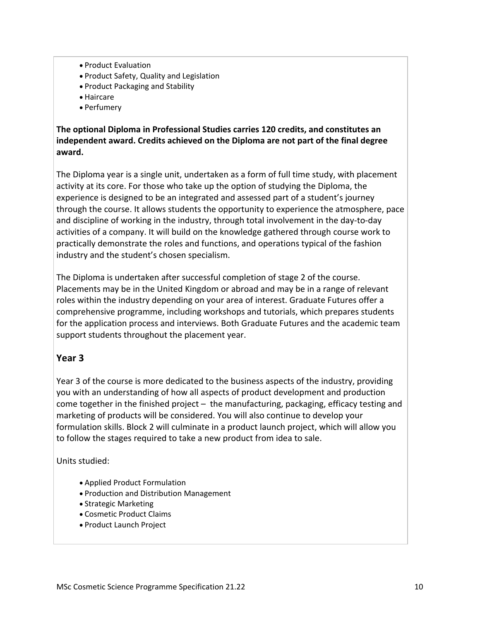- Product Evaluation
- Product Safety, Quality and Legislation
- Product Packaging and Stability
- Haircare
- Perfumery

**The optional Diploma in Professional Studies carries 120 credits, and constitutes an independent award. Credits achieved on the Diploma are not part of the final degree award.**

The Diploma year is a single unit, undertaken as a form of full time study, with placement activity at its core. For those who take up the option of studying the Diploma, the experience is designed to be an integrated and assessed part of a student's journey through the course. It allows students the opportunity to experience the atmosphere, pace and discipline of working in the industry, through total involvement in the day-to-day activities of a company. It will build on the knowledge gathered through course work to practically demonstrate the roles and functions, and operations typical of the fashion industry and the student's chosen specialism.

The Diploma is undertaken after successful completion of stage 2 of the course. Placements may be in the United Kingdom or abroad and may be in a range of relevant roles within the industry depending on your area of interest. Graduate Futures offer a comprehensive programme, including workshops and tutorials, which prepares students for the application process and interviews. Both Graduate Futures and the academic team support students throughout the placement year.

#### **Year 3**

Year 3 of the course is more dedicated to the business aspects of the industry, providing you with an understanding of how all aspects of product development and production come together in the finished project – the manufacturing, packaging, efficacy testing and marketing of products will be considered. You will also continue to develop your formulation skills. Block 2 will culminate in a product launch project, which will allow you to follow the stages required to take a new product from idea to sale.

Units studied:

- Applied Product Formulation
- Production and Distribution Management
- Strategic Marketing
- Cosmetic Product Claims
- Product Launch Project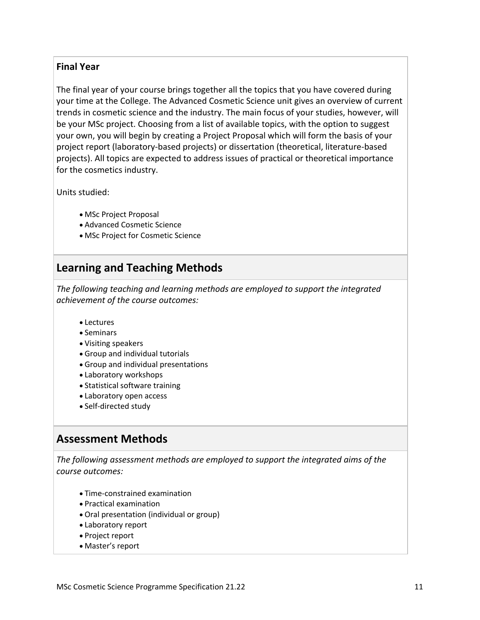#### **Final Year**

The final year of your course brings together all the topics that you have covered during your time at the College. The Advanced Cosmetic Science unit gives an overview of current trends in cosmetic science and the industry. The main focus of your studies, however, will be your MSc project. Choosing from a list of available topics, with the option to suggest your own, you will begin by creating a Project Proposal which will form the basis of your project report (laboratory-based projects) or dissertation (theoretical, literature-based projects). All topics are expected to address issues of practical or theoretical importance for the cosmetics industry.

Units studied:

- MSc Project Proposal
- Advanced Cosmetic Science
- MSc Project for Cosmetic Science

## **Learning and Teaching Methods**

*The following teaching and learning methods are employed to support the integrated achievement of the course outcomes:*

- Lectures
- Seminars
- Visiting speakers
- Group and individual tutorials
- Group and individual presentations
- Laboratory workshops
- Statistical software training
- Laboratory open access
- Self-directed study

## **Assessment Methods**

*The following assessment methods are employed to support the integrated aims of the course outcomes:*

- Time-constrained examination
- Practical examination
- Oral presentation (individual or group)
- Laboratory report
- Project report
- Master's report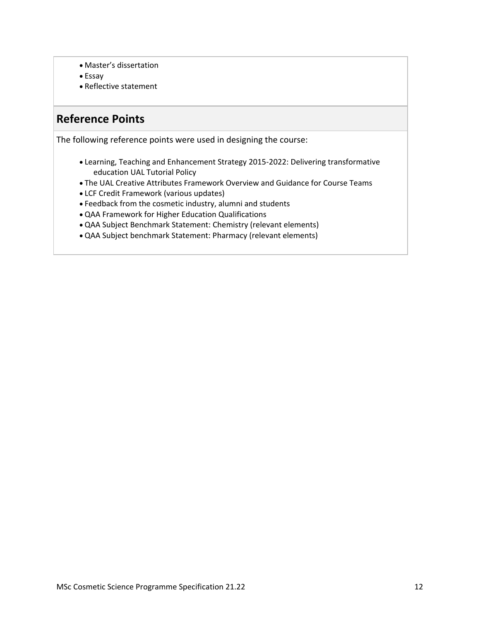- Master's dissertation
- Essay
- Reflective statement

### **Reference Points**

The following reference points were used in designing the course:

- Learning, Teaching and Enhancement Strategy 2015-2022: Delivering transformative education UAL Tutorial Policy
- The UAL Creative Attributes Framework Overview and Guidance for Course Teams
- LCF Credit Framework (various updates)
- Feedback from the cosmetic industry, alumni and students
- QAA Framework for Higher Education Qualifications
- QAA Subject Benchmark Statement: Chemistry (relevant elements)
- QAA Subject benchmark Statement: Pharmacy (relevant elements)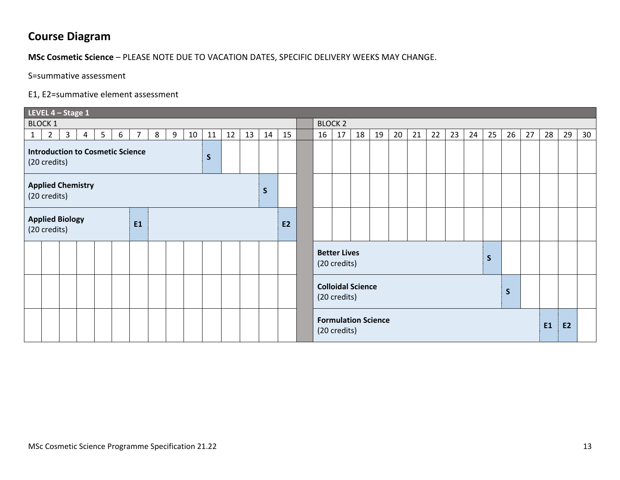## **Course Diagram**

#### **MSc Cosmetic Science** – PLEASE NOTE DUE TO VACATION DATES, SPECIFIC DELIVERY WEEKS MAY CHANGE.

S=summative assessment

#### E1, E2=summative element assessment

|                                                                         | LEVEL 4 - Stage 1 |              |                |                 |   |                |   |   |    |    |    |    |                |    |                                            |                                     |    |    |    |    |    |    |    |    |    |    |           |    |    |
|-------------------------------------------------------------------------|-------------------|--------------|----------------|-----------------|---|----------------|---|---|----|----|----|----|----------------|----|--------------------------------------------|-------------------------------------|----|----|----|----|----|----|----|----|----|----|-----------|----|----|
| <b>BLOCK 1</b>                                                          |                   |              |                |                 |   |                |   |   |    |    |    |    | <b>BLOCK 2</b> |    |                                            |                                     |    |    |    |    |    |    |    |    |    |    |           |    |    |
| 1                                                                       | $\overline{2}$    | $\mathbf{3}$ | $\overline{4}$ | $5\overline{)}$ | 6 | $\overline{7}$ | 8 | 9 | 10 | 11 | 12 | 13 | 14             | 15 | 16                                         | 17                                  | 18 | 19 | 20 | 21 | 22 | 23 | 24 | 25 | 26 | 27 | 28        | 29 | 30 |
| <b>Introduction to Cosmetic Science</b><br>$\mathsf{S}$<br>(20 credits) |                   |              |                |                 |   |                |   |   |    |    |    |    |                |    |                                            |                                     |    |    |    |    |    |    |    |    |    |    |           |    |    |
| <b>Applied Chemistry</b><br>$\mathsf{S}$<br>(20 credits)                |                   |              |                |                 |   |                |   |   |    |    |    |    |                |    |                                            |                                     |    |    |    |    |    |    |    |    |    |    |           |    |    |
| <b>Applied Biology</b><br><b>E1</b><br>(20 credits)                     |                   |              |                |                 |   |                |   |   |    | E2 |    |    |                |    |                                            |                                     |    |    |    |    |    |    |    |    |    |    |           |    |    |
|                                                                         |                   |              |                |                 |   |                |   |   |    |    |    |    |                |    |                                            | <b>Better Lives</b><br>(20 credits) |    |    |    | S  |    |    |    |    |    |    |           |    |    |
|                                                                         |                   |              |                |                 |   |                |   |   |    |    |    |    |                |    | <b>Colloidal Science</b><br>(20 credits)   |                                     |    |    |    |    |    |    |    |    | S  |    |           |    |    |
|                                                                         |                   |              |                |                 |   |                |   |   |    |    |    |    |                |    | <b>Formulation Science</b><br>(20 credits) |                                     |    |    |    |    |    |    |    |    |    | E1 | <b>E2</b> |    |    |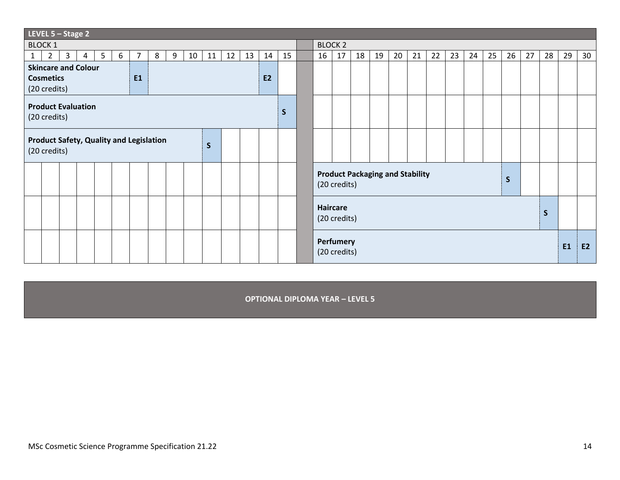| LEVEL $5 -$ Stage 2                                                                                              |              |                                          |                |              |    |    |                                        |    |    |    |    |    |              |           |    |    |    |
|------------------------------------------------------------------------------------------------------------------|--------------|------------------------------------------|----------------|--------------|----|----|----------------------------------------|----|----|----|----|----|--------------|-----------|----|----|----|
| <b>BLOCK 1</b>                                                                                                   |              |                                          | <b>BLOCK 2</b> |              |    |    |                                        |    |    |    |    |    |              |           |    |    |    |
| 5<br>8<br>9<br>11<br>12<br>13<br>$\overline{2}$<br>$\mathbf{3}$<br>6<br>$\overline{7}$<br>$10-1$<br>14<br>4<br>1 | 15           |                                          | 16             | 17           | 18 | 19 | 20                                     | 21 | 22 | 23 | 24 | 25 | 26           | 27        | 28 | 29 | 30 |
| <b>Skincare and Colour</b>                                                                                       |              |                                          |                |              |    |    |                                        |    |    |    |    |    |              |           |    |    |    |
| <b>E1</b><br><b>E2</b><br><b>Cosmetics</b>                                                                       |              |                                          |                |              |    |    |                                        |    |    |    |    |    |              |           |    |    |    |
| (20 credits)                                                                                                     |              |                                          |                |              |    |    |                                        |    |    |    |    |    |              |           |    |    |    |
| <b>Product Evaluation</b><br>(20 credits)                                                                        | <sub>S</sub> |                                          |                |              |    |    |                                        |    |    |    |    |    |              |           |    |    |    |
| <b>Product Safety, Quality and Legislation</b><br>$\mathsf{s}$<br>(20 credits)                                   |              |                                          |                |              |    |    |                                        |    |    |    |    |    |              |           |    |    |    |
|                                                                                                                  |              |                                          |                | (20 credits) |    |    | <b>Product Packaging and Stability</b> |    |    |    |    |    | $\mathsf{S}$ |           |    |    |    |
|                                                                                                                  |              | Haircare<br>$\mathsf{S}$<br>(20 credits) |                |              |    |    |                                        |    |    |    |    |    |              |           |    |    |    |
|                                                                                                                  |              | Perfumery<br>(20 credits)                |                |              |    |    |                                        |    |    |    |    |    |              | <b>E1</b> | E2 |    |    |

**OPTIONAL DIPLOMA YEAR – LEVEL 5**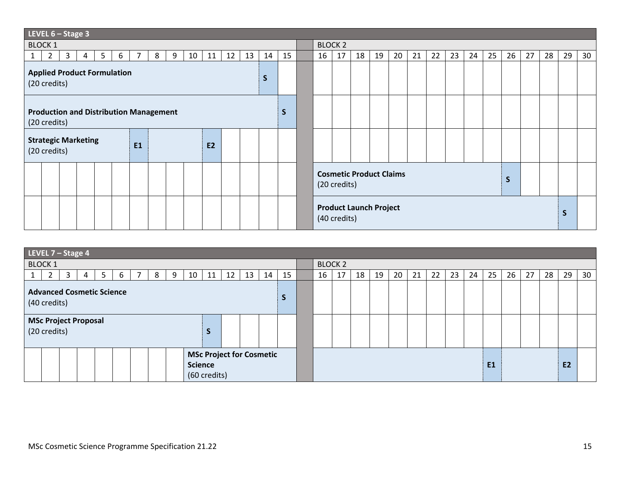| LEVEL $6 -$ Stage 3                                                                  |                |  |                                                     |    |    |    |    |    |    |    |    |    |    |    |    |          |    |
|--------------------------------------------------------------------------------------|----------------|--|-----------------------------------------------------|----|----|----|----|----|----|----|----|----|----|----|----|----------|----|
| <b>BLOCK 1</b>                                                                       | <b>BLOCK 2</b> |  |                                                     |    |    |    |    |    |    |    |    |    |    |    |    |          |    |
| $\overline{2}$<br>5<br>3<br>8<br>12<br>13<br>6<br>7<br>9<br>10<br>11<br>14<br>1<br>4 | 15             |  | 16                                                  | 17 | 18 | 19 | 20 | 21 | 22 | 23 | 24 | 25 | 26 | 27 | 28 | 29       | 30 |
| <b>Applied Product Formulation</b><br>S<br>(20 credits)                              |                |  |                                                     |    |    |    |    |    |    |    |    |    |    |    |    |          |    |
| <b>Production and Distribution Management</b><br>(20 credits)                        |                |  |                                                     |    |    |    |    |    |    |    |    |    |    |    |    |          |    |
| <b>Strategic Marketing</b><br><b>E1</b><br><b>E2</b><br>(20 credits)                 |                |  |                                                     |    |    |    |    |    |    |    |    |    |    |    |    |          |    |
|                                                                                      |                |  | <b>Cosmetic Product Claims</b><br>S<br>(20 credits) |    |    |    |    |    |    |    |    |    |    |    |    |          |    |
|                                                                                      |                |  | <b>Product Launch Project</b><br>(40 credits)       |    |    |    |    |    |    |    |    |    |    |    |    | <b>S</b> |    |

| LEVEL $7$ – Stage 4                                               |                |    |    |    |    |    |    |    |    |    |                |    |    |    |           |    |
|-------------------------------------------------------------------|----------------|----|----|----|----|----|----|----|----|----|----------------|----|----|----|-----------|----|
| <b>BLOCK 1</b>                                                    | <b>BLOCK 2</b> |    |    |    |    |    |    |    |    |    |                |    |    |    |           |    |
| 10<br>12<br>3<br>-5<br>11<br>⇁<br>13<br>8<br>9<br>4<br>6          | 15<br>14       | 16 | 17 | 18 | 19 | 20 | 21 | 22 | 23 | 24 | 25             | 26 | 27 | 28 | 29        | 30 |
| <b>Advanced Cosmetic Science</b><br>(40 credits)                  | $\mathsf{S}$   |    |    |    |    |    |    |    |    |    |                |    |    |    |           |    |
| <b>MSc Project Proposal</b><br>(20 credits)<br>э                  |                |    |    |    |    |    |    |    |    |    |                |    |    |    |           |    |
| <b>MSc Project for Cosmetic</b><br><b>Science</b><br>(60 credits) |                |    |    |    |    |    |    |    |    |    | E <sub>1</sub> |    |    |    | <b>E2</b> |    |